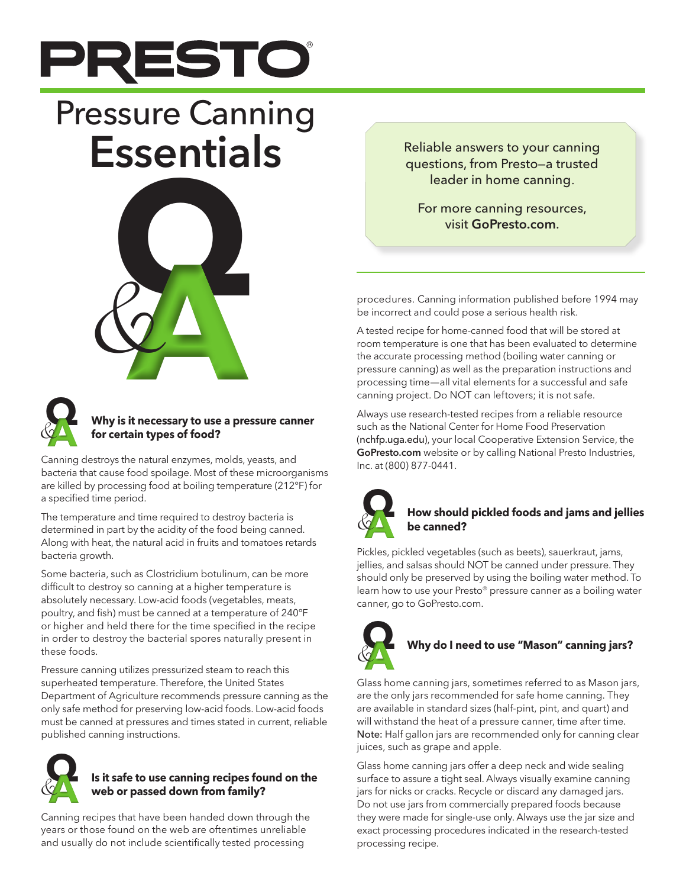

# Pressure Canning Essentials Reliable answers to your canning





## **Why is it necessary to use a pressure canner for certain types of food?**

Canning destroys the natural enzymes, molds, yeasts, and bacteria that cause food spoilage. Most of these microorganisms are killed by processing food at boiling temperature (212°F) for a specified time period.

The temperature and time required to destroy bacteria is determined in part by the acidity of the food being canned. Along with heat, the natural acid in fruits and tomatoes retards bacteria growth.

Some bacteria, such as Clostridium botulinum, can be more difficult to destroy so canning at a higher temperature is absolutely necessary. Low-acid foods (vegetables, meats, poultry, and fish) must be canned at a temperature of 240°F or higher and held there for the time specified in the recipe in order to destroy the bacterial spores naturally present in these foods.

Pressure canning utilizes pressurized steam to reach this superheated temperature. Therefore, the United States Department of Agriculture recommends pressure canning as the only safe method for preserving low-acid foods. Low-acid foods must be canned at pressures and times stated in current, reliable published canning instructions.



## **Is it safe to use canning recipes found on the web or passed down from family?**

Canning recipes that have been handed down through the years or those found on the web are oftentimes unreliable and usually do not include scientifically tested processing

questions, from Presto—a trusted leader in home canning.

procedures. Canning information published before 1994 may be incorrect and could pose a serious health risk.

A tested recipe for home-canned food that will be stored at room temperature is one that has been evaluated to determine the accurate processing method (boiling water canning or pressure canning) as well as the preparation instructions and processing time—all vital elements for a successful and safe canning project. Do NOT can leftovers; it is not safe.

Always use research-tested recipes from a reliable resource such as the National Center for Home Food Preservation (nchfp.uga.edu), your local Cooperative Extension Service, the GoPresto.com website or by calling National Presto Industries, Inc. at (800) 877-0441.



## **How should pickled foods and jams and jellies be canned?**

Pickles, pickled vegetables (such as beets), sauerkraut, jams, jellies, and salsas should NOT be canned under pressure. They should only be preserved by using the boiling water method. To learn how to use your Presto® pressure canner as a boiling water canner, go to GoPresto.com.



## **Why do I need to use "Mason" canning jars?**

Glass home canning jars, sometimes referred to as Mason jars, are the only jars recommended for safe home canning. They are available in standard sizes (half-pint, pint, and quart) and will withstand the heat of a pressure canner, time after time. Note: Half gallon jars are recommended only for canning clear juices, such as grape and apple.

Glass home canning jars offer a deep neck and wide sealing surface to assure a tight seal. Always visually examine canning jars for nicks or cracks. Recycle or discard any damaged jars. Do not use jars from commercially prepared foods because they were made for single-use only. Always use the jar size and exact processing procedures indicated in the research-tested processing recipe.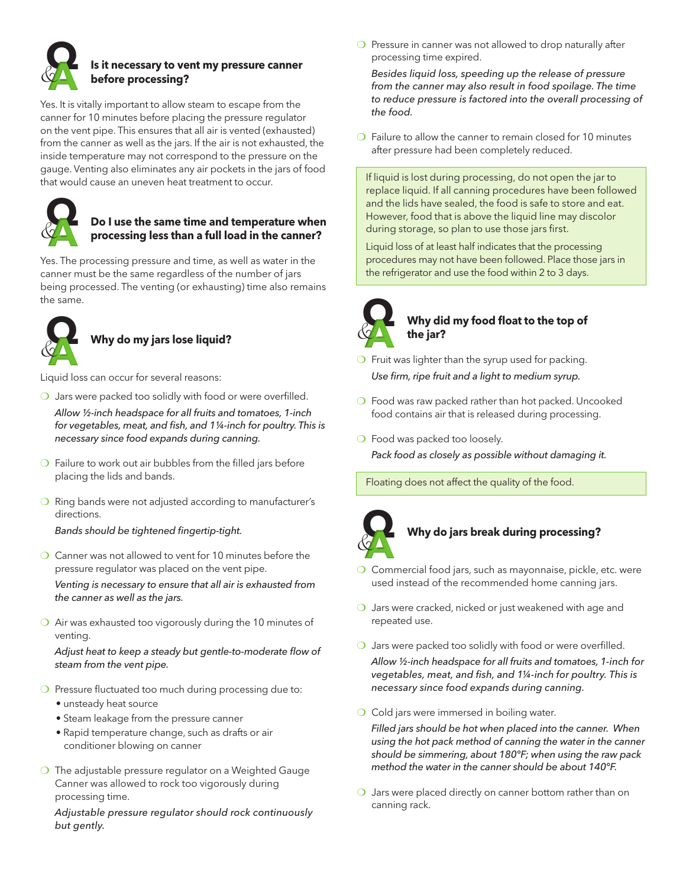

## **Is it necessary to vent my pressure canner before processing?**

Yes. It is vitally important to allow steam to escape from the canner for 10 minutes before placing the pressure regulator on the vent pipe. This ensures that all air is vented (exhausted) from the canner as well as the jars. If the air is not exhausted, the inside temperature may not correspond to the pressure on the gauge. Venting also eliminates any air pockets in the jars of food that would cause an uneven heat treatment to occur.



#### **Do I use the same time and temperature when processing less than a full load in the canner?**

Yes. The processing pressure and time, as well as water in the canner must be the same regardless of the number of jars being processed. The venting (or exhausting) time also remains the same.



## **Why do my jars lose liquid?** Why do my jars lose liquid<br>Liquid loss can occur for several reasons:

- ◯ Jars were packed too solidly with food or were overfilled. *Allow ½-inch headspace for all fruits and tomatoes, 1-inch for vegetables, meat, and fish, and 1¼-inch for poultry. This is necessary since food expands during canning.*
- $\bigcirc$  Failure to work out air bubbles from the filled jars before placing the lids and bands.
- ❍ Ring bands were not adjusted according to manufacturer's directions.

*Bands should be tightened fingertip-tight.*

❍ Canner was not allowed to vent for 10 minutes before the pressure regulator was placed on the vent pipe.

*Venting is necessary to ensure that all air is exhausted from the canner as well as the jars.* 

❍ Air was exhausted too vigorously during the 10 minutes of venting.

*Adjust heat to keep a steady but gentle-to-moderate flow of steam from the vent pipe.* 

- ❍ Pressure fluctuated too much during processing due to:
	- unsteady heat source
	- Steam leakage from the pressure canner
	- Rapid temperature change, such as drafts or air conditioner blowing on canner
- ❍ The adjustable pressure regulator on a Weighted Gauge Canner was allowed to rock too vigorously during processing time.

*Adjustable pressure regulator should rock continuously but gently.*

○ Pressure in canner was not allowed to drop naturally after processing time expired.

*Besides liquid loss, speeding up the release of pressure from the canner may also result in food spoilage. The time to reduce pressure is factored into the overall processing of the food.*

❍ Failure to allow the canner to remain closed for 10 minutes after pressure had been completely reduced.

If liquid is lost during processing, do not open the jar to replace liquid. If all canning procedures have been followed and the lids have sealed, the food is safe to store and eat. However, food that is above the liquid line may discolor during storage, so plan to use those jars first.

Liquid loss of at least half indicates that the processing procedures may not have been followed. Place those jars in the refrigerator and use the food within 2 to 3 days.



## **Why did my food float to the top of the jar?** Why did my food float to the top of<br> **Q**<br> **Q**<br> **Q**<br>
Fruit was lighter than the syrup used for packing.

- *Use firm, ripe fruit and a light to medium syrup.*
- ❍ Food was raw packed rather than hot packed. Uncooked food contains air that is released during processing.
- ❍ Food was packed too loosely. *Pack food as closely as possible without damaging it.*

Floating does not affect the quality of the food.



## **Why do jars break during processing?**

- Why do jars break during processing?<br> **Q**<br> **Q** Commercial food jars, such as mayonnaise, pickle, etc. were used instead of the recommended home canning jars.
- ❍ Jars were cracked, nicked or just weakened with age and repeated use.
- ❍ Jars were packed too solidly with food or were overfilled. *Allow ½-inch headspace for all fruits and tomatoes, 1-inch for vegetables, meat, and fish, and 1¼-inch for poultry. This is necessary since food expands during canning.*
- ❍ Cold jars were immersed in boiling water.

*Filled jars should be hot when placed into the canner. When using the hot pack method of canning the water in the canner should be simmering, about 180°F; when using the raw pack method the water in the canner should be about 140°F.* 

❍ Jars were placed directly on canner bottom rather than on canning rack.